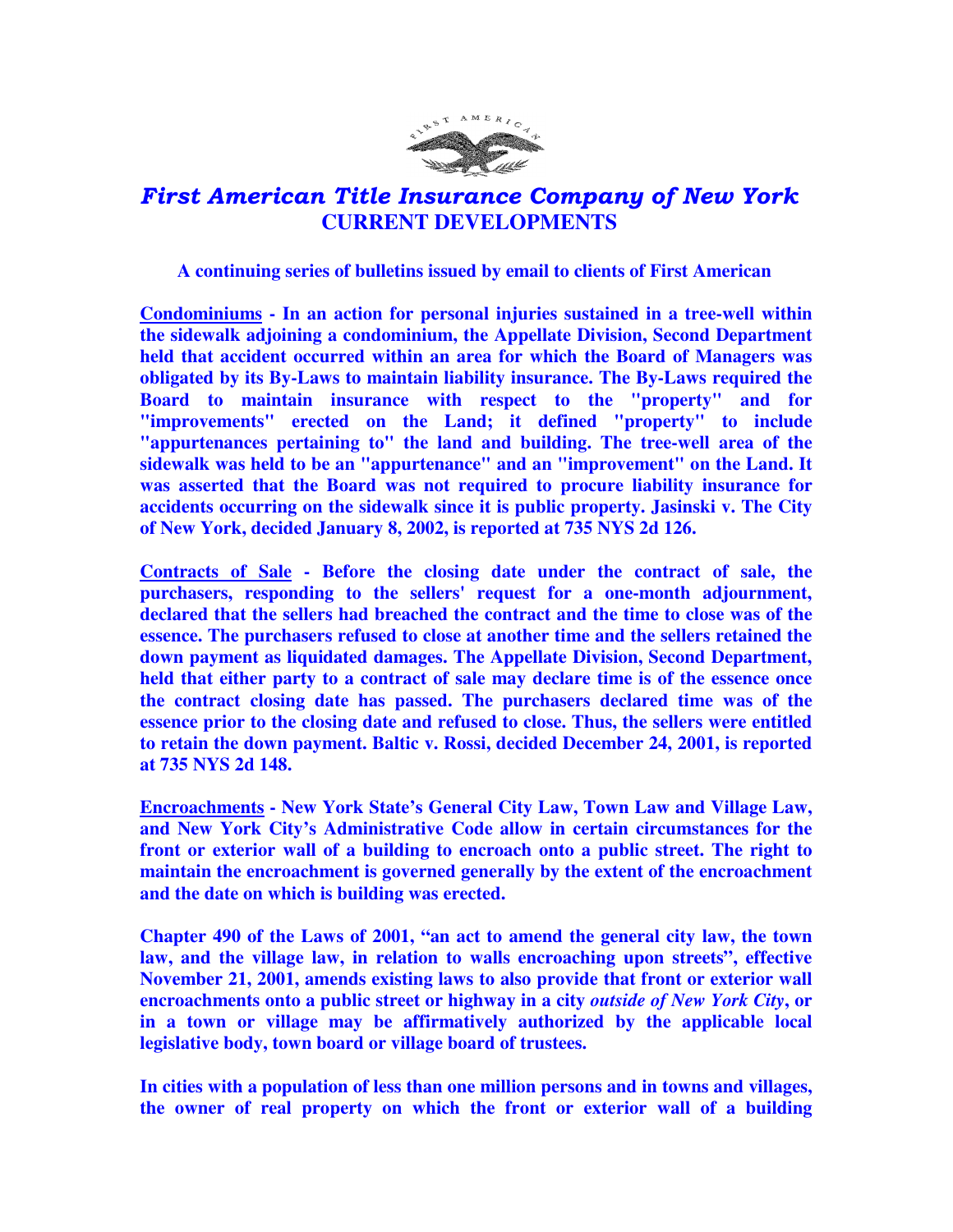

## First American Title Insurance Company of New York  **CURRENT DEVELOPMENTS**

## **A continuing series of bulletins issued by email to clients of First American**

**Condominiums - In an action for personal injuries sustained in a tree-well within the sidewalk adjoining a condominium, the Appellate Division, Second Department held that accident occurred within an area for which the Board of Managers was obligated by its By-Laws to maintain liability insurance. The By-Laws required the Board to maintain insurance with respect to the "property" and for "improvements" erected on the Land; it defined "property" to include "appurtenances pertaining to" the land and building. The tree-well area of the sidewalk was held to be an "appurtenance" and an "improvement" on the Land. It was asserted that the Board was not required to procure liability insurance for accidents occurring on the sidewalk since it is public property. Jasinski v. The City of New York, decided January 8, 2002, is reported at 735 NYS 2d 126.** 

**Contracts of Sale - Before the closing date under the contract of sale, the purchasers, responding to the sellers' request for a one-month adjournment, declared that the sellers had breached the contract and the time to close was of the essence. The purchasers refused to close at another time and the sellers retained the down payment as liquidated damages. The Appellate Division, Second Department, held that either party to a contract of sale may declare time is of the essence once the contract closing date has passed. The purchasers declared time was of the essence prior to the closing date and refused to close. Thus, the sellers were entitled to retain the down payment. Baltic v. Rossi, decided December 24, 2001, is reported at 735 NYS 2d 148.** 

**Encroachments - New York State's General City Law, Town Law and Village Law, and New York City's Administrative Code allow in certain circumstances for the front or exterior wall of a building to encroach onto a public street. The right to maintain the encroachment is governed generally by the extent of the encroachment and the date on which is building was erected.** 

**Chapter 490 of the Laws of 2001, "an act to amend the general city law, the town law, and the village law, in relation to walls encroaching upon streets", effective November 21, 2001, amends existing laws to also provide that front or exterior wall encroachments onto a public street or highway in a city** *outside of New York City***, or in a town or village may be affirmatively authorized by the applicable local legislative body, town board or village board of trustees.** 

**In cities with a population of less than one million persons and in towns and villages, the owner of real property on which the front or exterior wall of a building**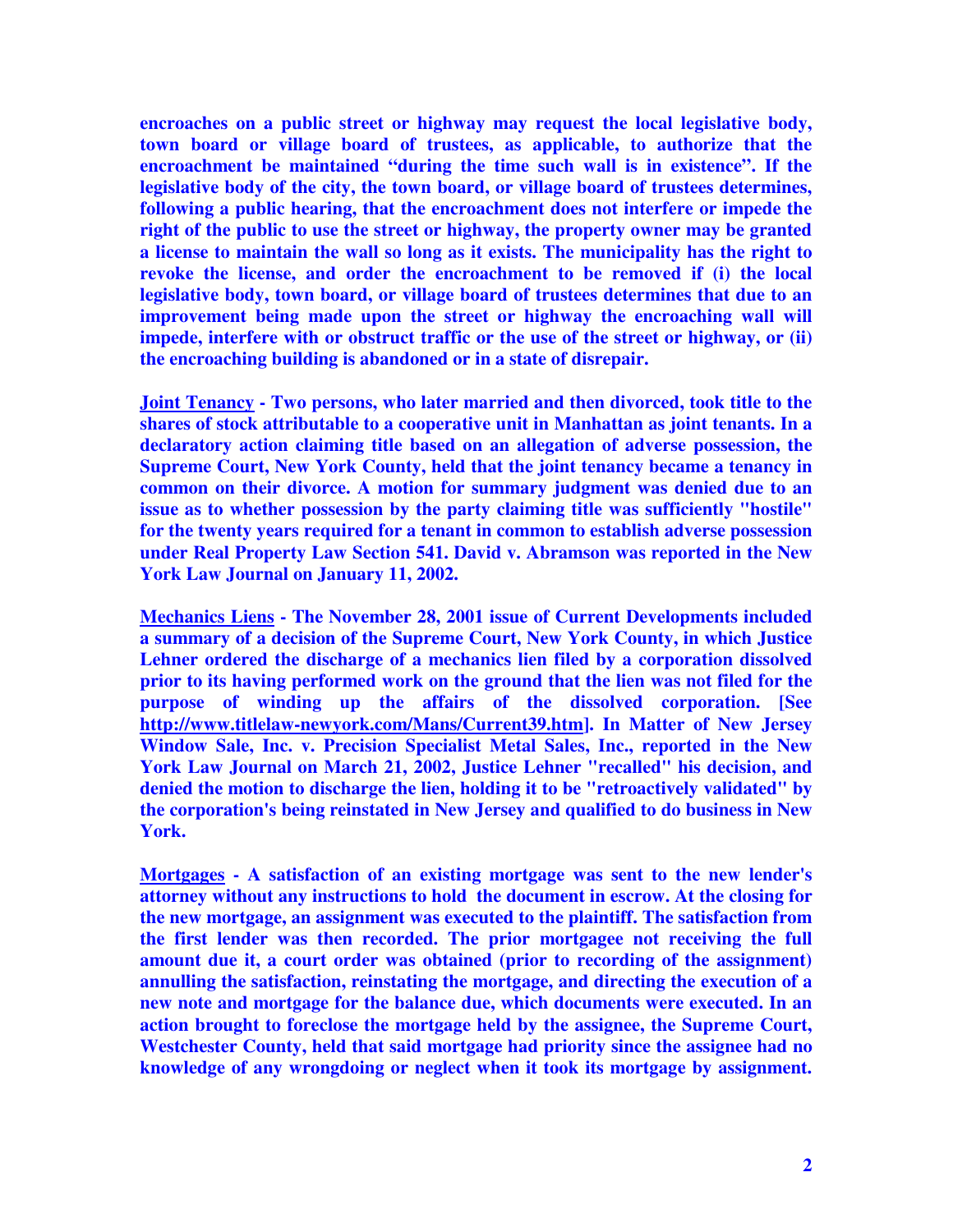**encroaches on a public street or highway may request the local legislative body, town board or village board of trustees, as applicable, to authorize that the encroachment be maintained "during the time such wall is in existence". If the legislative body of the city, the town board, or village board of trustees determines, following a public hearing, that the encroachment does not interfere or impede the right of the public to use the street or highway, the property owner may be granted a license to maintain the wall so long as it exists. The municipality has the right to revoke the license, and order the encroachment to be removed if (i) the local legislative body, town board, or village board of trustees determines that due to an improvement being made upon the street or highway the encroaching wall will impede, interfere with or obstruct traffic or the use of the street or highway, or (ii) the encroaching building is abandoned or in a state of disrepair.** 

**Joint Tenancy - Two persons, who later married and then divorced, took title to the shares of stock attributable to a cooperative unit in Manhattan as joint tenants. In a declaratory action claiming title based on an allegation of adverse possession, the Supreme Court, New York County, held that the joint tenancy became a tenancy in common on their divorce. A motion for summary judgment was denied due to an issue as to whether possession by the party claiming title was sufficiently "hostile" for the twenty years required for a tenant in common to establish adverse possession under Real Property Law Section 541. David v. Abramson was reported in the New York Law Journal on January 11, 2002.** 

**Mechanics Liens - The November 28, 2001 issue of Current Developments included a summary of a decision of the Supreme Court, New York County, in which Justice Lehner ordered the discharge of a mechanics lien filed by a corporation dissolved prior to its having performed work on the ground that the lien was not filed for the purpose of winding up the affairs of the dissolved corporation. [See http://www.titlelaw-newyork.com/Mans/Current39.htm]. In Matter of New Jersey Window Sale, Inc. v. Precision Specialist Metal Sales, Inc., reported in the New York Law Journal on March 21, 2002, Justice Lehner "recalled" his decision, and denied the motion to discharge the lien, holding it to be "retroactively validated" by the corporation's being reinstated in New Jersey and qualified to do business in New York.** 

**Mortgages - A satisfaction of an existing mortgage was sent to the new lender's attorney without any instructions to hold the document in escrow. At the closing for the new mortgage, an assignment was executed to the plaintiff. The satisfaction from the first lender was then recorded. The prior mortgagee not receiving the full amount due it, a court order was obtained (prior to recording of the assignment) annulling the satisfaction, reinstating the mortgage, and directing the execution of a new note and mortgage for the balance due, which documents were executed. In an action brought to foreclose the mortgage held by the assignee, the Supreme Court, Westchester County, held that said mortgage had priority since the assignee had no knowledge of any wrongdoing or neglect when it took its mortgage by assignment.**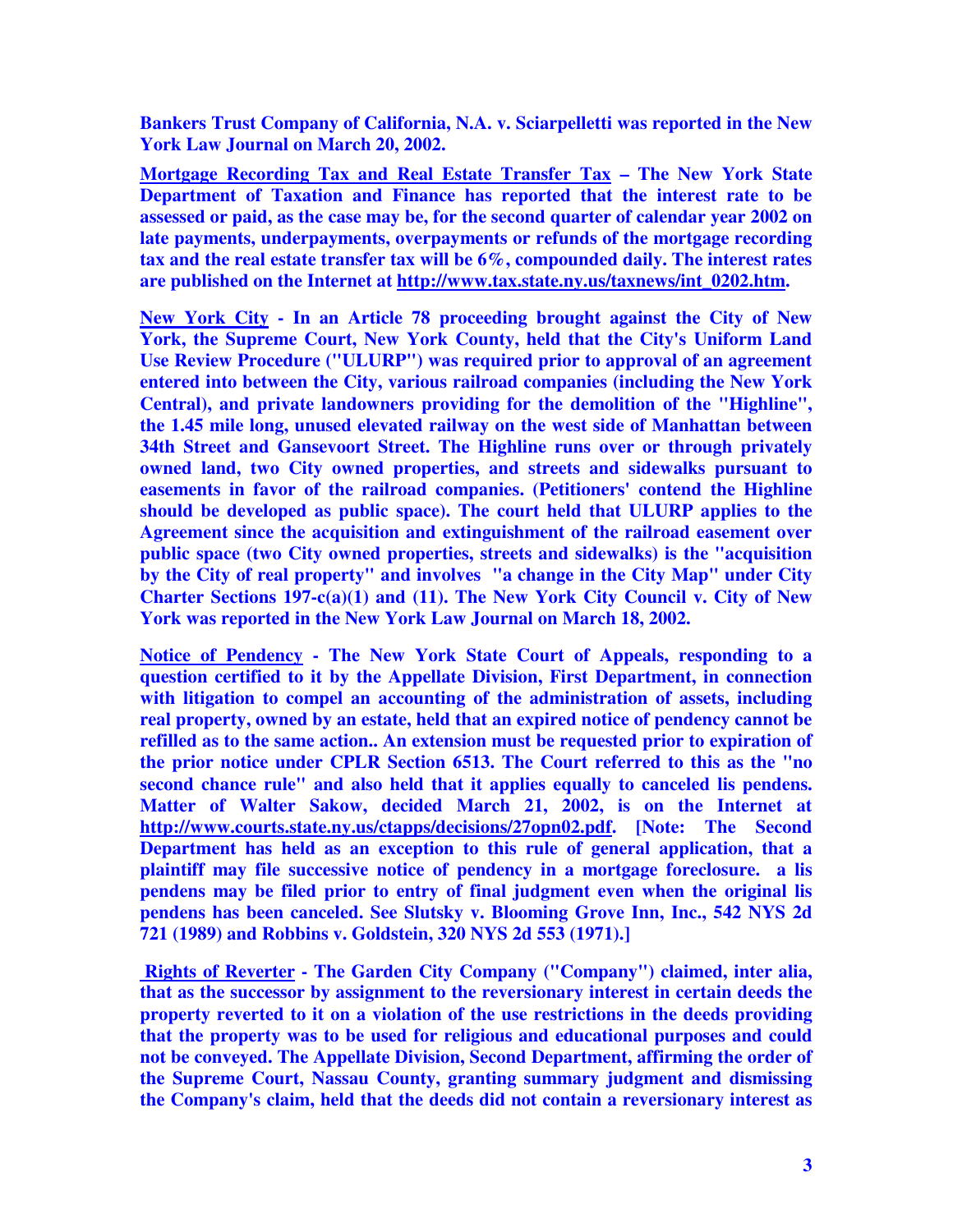**Bankers Trust Company of California, N.A. v. Sciarpelletti was reported in the New York Law Journal on March 20, 2002.** 

**Mortgage Recording Tax and Real Estate Transfer Tax – The New York State Department of Taxation and Finance has reported that the interest rate to be assessed or paid, as the case may be, for the second quarter of calendar year 2002 on late payments, underpayments, overpayments or refunds of the mortgage recording tax and the real estate transfer tax will be 6%, compounded daily. The interest rates are published on the Internet at http://www.tax.state.ny.us/taxnews/int\_0202.htm.** 

**New York City - In an Article 78 proceeding brought against the City of New York, the Supreme Court, New York County, held that the City's Uniform Land Use Review Procedure ("ULURP") was required prior to approval of an agreement entered into between the City, various railroad companies (including the New York Central), and private landowners providing for the demolition of the "Highline", the 1.45 mile long, unused elevated railway on the west side of Manhattan between 34th Street and Gansevoort Street. The Highline runs over or through privately owned land, two City owned properties, and streets and sidewalks pursuant to easements in favor of the railroad companies. (Petitioners' contend the Highline should be developed as public space). The court held that ULURP applies to the Agreement since the acquisition and extinguishment of the railroad easement over public space (two City owned properties, streets and sidewalks) is the "acquisition by the City of real property" and involves "a change in the City Map" under City Charter Sections 197-c(a)(1) and (11). The New York City Council v. City of New York was reported in the New York Law Journal on March 18, 2002.** 

**Notice of Pendency - The New York State Court of Appeals, responding to a question certified to it by the Appellate Division, First Department, in connection with litigation to compel an accounting of the administration of assets, including real property, owned by an estate, held that an expired notice of pendency cannot be refilled as to the same action.. An extension must be requested prior to expiration of the prior notice under CPLR Section 6513. The Court referred to this as the "no second chance rule" and also held that it applies equally to canceled lis pendens. Matter of Walter Sakow, decided March 21, 2002, is on the Internet at http://www.courts.state.ny.us/ctapps/decisions/27opn02.pdf. [Note: The Second Department has held as an exception to this rule of general application, that a plaintiff may file successive notice of pendency in a mortgage foreclosure. a lis pendens may be filed prior to entry of final judgment even when the original lis pendens has been canceled. See Slutsky v. Blooming Grove Inn, Inc., 542 NYS 2d 721 (1989) and Robbins v. Goldstein, 320 NYS 2d 553 (1971).]** 

 **Rights of Reverter - The Garden City Company ("Company") claimed, inter alia, that as the successor by assignment to the reversionary interest in certain deeds the property reverted to it on a violation of the use restrictions in the deeds providing that the property was to be used for religious and educational purposes and could not be conveyed. The Appellate Division, Second Department, affirming the order of the Supreme Court, Nassau County, granting summary judgment and dismissing the Company's claim, held that the deeds did not contain a reversionary interest as**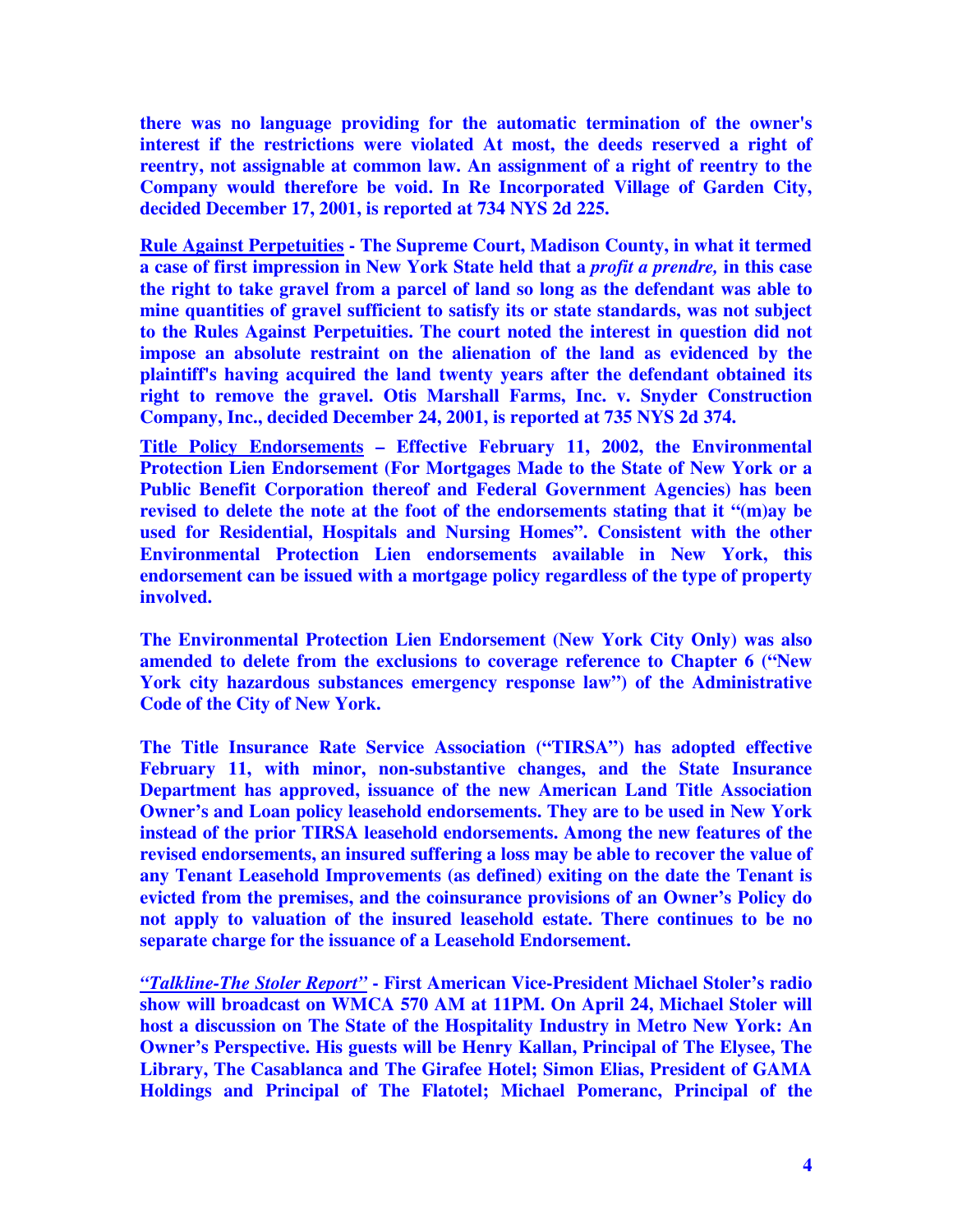**there was no language providing for the automatic termination of the owner's interest if the restrictions were violated At most, the deeds reserved a right of reentry, not assignable at common law. An assignment of a right of reentry to the Company would therefore be void. In Re Incorporated Village of Garden City, decided December 17, 2001, is reported at 734 NYS 2d 225.** 

**Rule Against Perpetuities - The Supreme Court, Madison County, in what it termed a case of first impression in New York State held that a** *profit a prendre,* **in this case the right to take gravel from a parcel of land so long as the defendant was able to mine quantities of gravel sufficient to satisfy its or state standards, was not subject to the Rules Against Perpetuities. The court noted the interest in question did not impose an absolute restraint on the alienation of the land as evidenced by the plaintiff's having acquired the land twenty years after the defendant obtained its right to remove the gravel. Otis Marshall Farms, Inc. v. Snyder Construction Company, Inc., decided December 24, 2001, is reported at 735 NYS 2d 374.** 

**Title Policy Endorsements – Effective February 11, 2002, the Environmental Protection Lien Endorsement (For Mortgages Made to the State of New York or a Public Benefit Corporation thereof and Federal Government Agencies) has been revised to delete the note at the foot of the endorsements stating that it "(m)ay be used for Residential, Hospitals and Nursing Homes". Consistent with the other Environmental Protection Lien endorsements available in New York, this endorsement can be issued with a mortgage policy regardless of the type of property involved.** 

**The Environmental Protection Lien Endorsement (New York City Only) was also amended to delete from the exclusions to coverage reference to Chapter 6 ("New York city hazardous substances emergency response law") of the Administrative Code of the City of New York.** 

**The Title Insurance Rate Service Association ("TIRSA") has adopted effective February 11, with minor, non-substantive changes, and the State Insurance Department has approved, issuance of the new American Land Title Association Owner's and Loan policy leasehold endorsements. They are to be used in New York instead of the prior TIRSA leasehold endorsements. Among the new features of the revised endorsements, an insured suffering a loss may be able to recover the value of any Tenant Leasehold Improvements (as defined) exiting on the date the Tenant is evicted from the premises, and the coinsurance provisions of an Owner's Policy do not apply to valuation of the insured leasehold estate. There continues to be no separate charge for the issuance of a Leasehold Endorsement.** 

*"Talkline-The Stoler Report"* **- First American Vice-President Michael Stoler's radio show will broadcast on WMCA 570 AM at 11PM. On April 24, Michael Stoler will host a discussion on The State of the Hospitality Industry in Metro New York: An Owner's Perspective. His guests will be Henry Kallan, Principal of The Elysee, The Library, The Casablanca and The Girafee Hotel; Simon Elias, President of GAMA Holdings and Principal of The Flatotel; Michael Pomeranc, Principal of the**